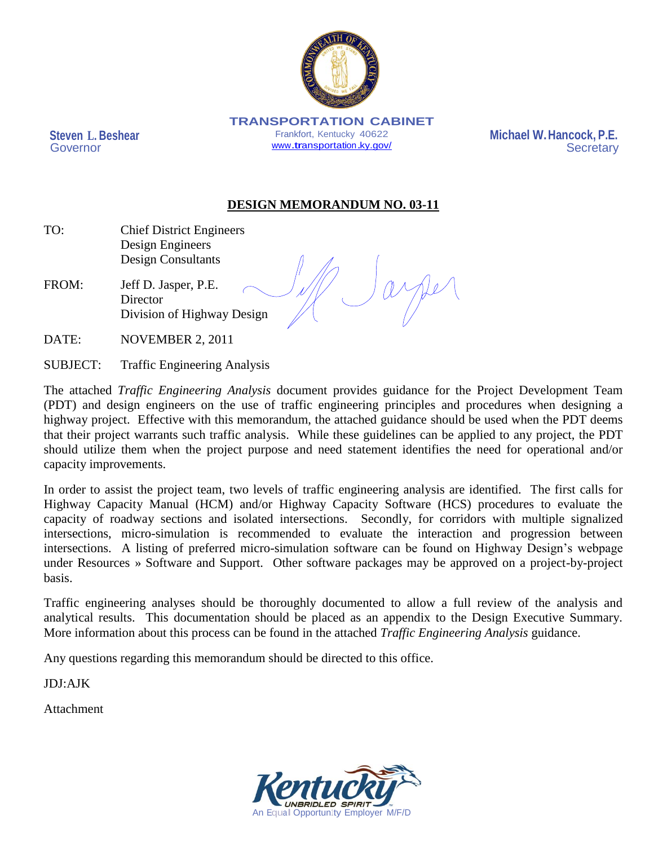

**TRANSPORTATION CABINET**  Frankfort, Kentucky 40622 [www.transportation.ky.gov/](http://www.transportation.ky.gov/)

**Steven L. Beshear** Governor

 **Michael W.Hancock, P.E. Secretary** 

# **DESIGN MEMORANDUM NO. 03-11**

- TO: Chief District Engineers Design Engineers Design Consultants
- FROM: Jeff D. Jasper, P.E. **Director** Division of Highway Design

DATE: NOVEMBER 2, 2011

SUBJECT: Traffic Engineering Analysis

The attached *Traffic Engineering Analysis* document provides guidance for the Project Development Team (PDT) and design engineers on the use of traffic engineering principles and procedures when designing a highway project. Effective with this memorandum, the attached guidance should be used when the PDT deems that their project warrants such traffic analysis. While these guidelines can be applied to any project, the PDT should utilize them when the project purpose and need statement identifies the need for operational and/or capacity improvements.

In order to assist the project team, two levels of traffic engineering analysis are identified. The first calls for Highway Capacity Manual (HCM) and/or Highway Capacity Software (HCS) procedures to evaluate the capacity of roadway sections and isolated intersections. Secondly, for corridors with multiple signalized intersections, micro-simulation is recommended to evaluate the interaction and progression between intersections. A listing of preferred micro-simulation software can be found on Highway Design's webpage under Resources » Software and Support. Other software packages may be approved on a project-by-project basis.

Traffic engineering analyses should be thoroughly documented to allow a full review of the analysis and analytical results. This documentation should be placed as an appendix to the Design Executive Summary. More information about this process can be found in the attached *Traffic Engineering Analysis* guidance.

Any questions regarding this memorandum should be directed to this office.

JDJ:AJK

Attachment

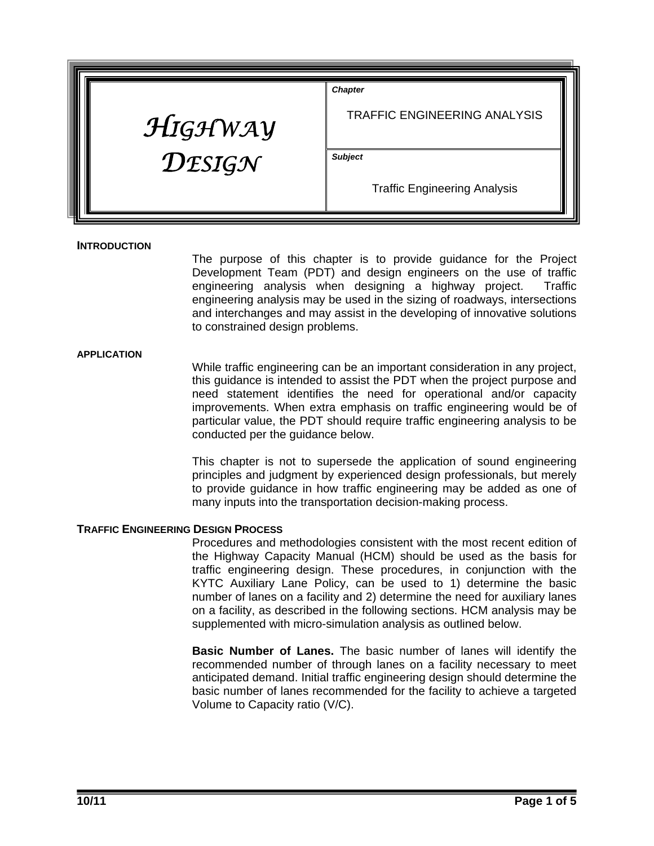| HIGHWAY          | <b>Chapter</b><br><b>TRAFFIC ENGINEERING ANALYSIS</b> |
|------------------|-------------------------------------------------------|
| $D$ <i>ESIGN</i> | <b>Subject</b>                                        |
|                  | <b>Traffic Engineering Analysis</b>                   |

### **INTRODUCTION**

The purpose of this chapter is to provide guidance for the Project Development Team (PDT) and design engineers on the use of traffic engineering analysis when designing a highway project. Traffic engineering analysis may be used in the sizing of roadways, intersections and interchanges and may assist in the developing of innovative solutions to constrained design problems.

#### **APPLICATION**

While traffic engineering can be an important consideration in any project, this guidance is intended to assist the PDT when the project purpose and need statement identifies the need for operational and/or capacity improvements. When extra emphasis on traffic engineering would be of particular value, the PDT should require traffic engineering analysis to be conducted per the guidance below.

This chapter is not to supersede the application of sound engineering principles and judgment by experienced design professionals, but merely to provide guidance in how traffic engineering may be added as one of many inputs into the transportation decision-making process.

### **TRAFFIC ENGINEERING DESIGN PROCESS**

Procedures and methodologies consistent with the most recent edition of the Highway Capacity Manual (HCM) should be used as the basis for traffic engineering design. These procedures, in conjunction with the KYTC Auxiliary Lane Policy, can be used to 1) determine the basic number of lanes on a facility and 2) determine the need for auxiliary lanes on a facility, as described in the following sections. HCM analysis may be supplemented with micro-simulation analysis as outlined below.

**Basic Number of Lanes.** The basic number of lanes will identify the recommended number of through lanes on a facility necessary to meet anticipated demand. Initial traffic engineering design should determine the basic number of lanes recommended for the facility to achieve a targeted Volume to Capacity ratio (V/C).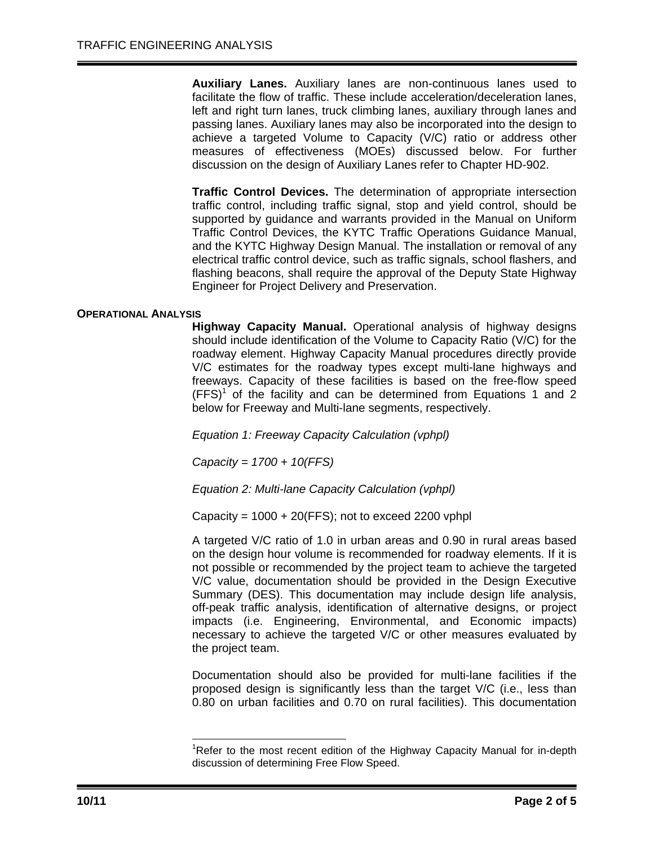**Auxiliary Lanes.** Auxiliary lanes are non-continuous lanes used to facilitate the flow of traffic. These include acceleration/deceleration lanes, left and right turn lanes, truck climbing lanes, auxiliary through lanes and passing lanes. Auxiliary lanes may also be incorporated into the design to achieve a targeted Volume to Capacity (V/C) ratio or address other measures of effectiveness (MOEs) discussed below. For further discussion on the design of Auxiliary Lanes refer to Chapter HD-902.

**Traffic Control Devices.** The determination of appropriate intersection traffic control, including traffic signal, stop and yield control, should be supported by guidance and warrants provided in the Manual on Uniform Traffic Control Devices, the KYTC Traffic Operations Guidance Manual, and the KYTC Highway Design Manual. The installation or removal of any electrical traffic control device, such as traffic signals, school flashers, and flashing beacons, shall require the approval of the Deputy State Highway Engineer for Project Delivery and Preservation.

## **OPERATIONAL ANALYSIS**

**Highway Capacity Manual.** Operational analysis of highway designs should include identification of the Volume to Capacity Ratio (V/C) for the roadway element. Highway Capacity Manual procedures directly provide V/C estimates for the roadway types except multi-lane highways and freeways. Capacity of these facilities is based on the free-flow speed  $(FFS)^1$  of the facility and can be determined from Equations 1 and 2 below for Freeway and Multi-lane segments, respectively.

*Equation 1: Freeway Capacity Calculation (vphpl)* 

*Capacity = 1700 + 10(FFS)* 

*Equation 2: Multi-lane Capacity Calculation (vphpl)* 

Capacity =  $1000 + 20$  (FFS); not to exceed 2200 vphpl

A targeted V/C ratio of 1.0 in urban areas and 0.90 in rural areas based on the design hour volume is recommended for roadway elements. If it is not possible or recommended by the project team to achieve the targeted V/C value, documentation should be provided in the Design Executive Summary (DES). This documentation may include design life analysis, off-peak traffic analysis, identification of alternative designs, or project impacts (i.e. Engineering, Environmental, and Economic impacts) necessary to achieve the targeted V/C or other measures evaluated by the project team.

Documentation should also be provided for multi-lane facilities if the proposed design is significantly less than the target V/C (i.e., less than 0.80 on urban facilities and 0.70 on rural facilities). This documentation

-

<sup>&</sup>lt;sup>1</sup>Refer to the most recent edition of the Highway Capacity Manual for in-depth discussion of determining Free Flow Speed.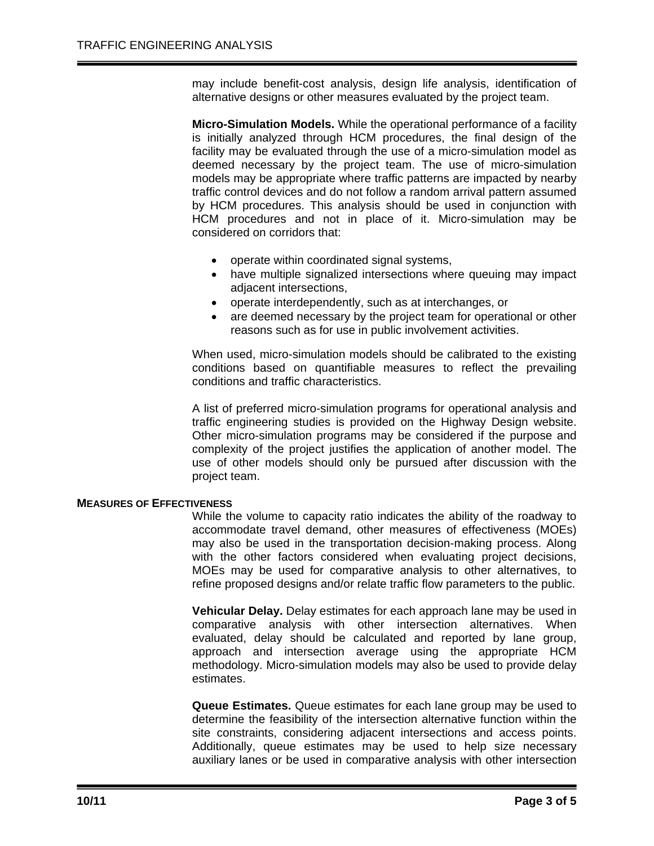may include benefit-cost analysis, design life analysis, identification of alternative designs or other measures evaluated by the project team.

**Micro-Simulation Models.** While the operational performance of a facility is initially analyzed through HCM procedures, the final design of the facility may be evaluated through the use of a micro-simulation model as deemed necessary by the project team. The use of micro-simulation models may be appropriate where traffic patterns are impacted by nearby traffic control devices and do not follow a random arrival pattern assumed by HCM procedures. This analysis should be used in conjunction with HCM procedures and not in place of it. Micro-simulation may be considered on corridors that:

- operate within coordinated signal systems,
- have multiple signalized intersections where queuing may impact adjacent intersections,
- operate interdependently, such as at interchanges, or
- are deemed necessary by the project team for operational or other reasons such as for use in public involvement activities.

When used, micro-simulation models should be calibrated to the existing conditions based on quantifiable measures to reflect the prevailing conditions and traffic characteristics.

A list of preferred micro-simulation programs for operational analysis and traffic engineering studies is provided on the Highway Design website. Other micro-simulation programs may be considered if the purpose and complexity of the project justifies the application of another model. The use of other models should only be pursued after discussion with the project team.

### **MEASURES OF EFFECTIVENESS**

While the volume to capacity ratio indicates the ability of the roadway to accommodate travel demand, other measures of effectiveness (MOEs) may also be used in the transportation decision-making process. Along with the other factors considered when evaluating project decisions, MOEs may be used for comparative analysis to other alternatives, to refine proposed designs and/or relate traffic flow parameters to the public.

**Vehicular Delay.** Delay estimates for each approach lane may be used in comparative analysis with other intersection alternatives. When evaluated, delay should be calculated and reported by lane group, approach and intersection average using the appropriate HCM methodology. Micro-simulation models may also be used to provide delay estimates.

**Queue Estimates.** Queue estimates for each lane group may be used to determine the feasibility of the intersection alternative function within the site constraints, considering adjacent intersections and access points. Additionally, queue estimates may be used to help size necessary auxiliary lanes or be used in comparative analysis with other intersection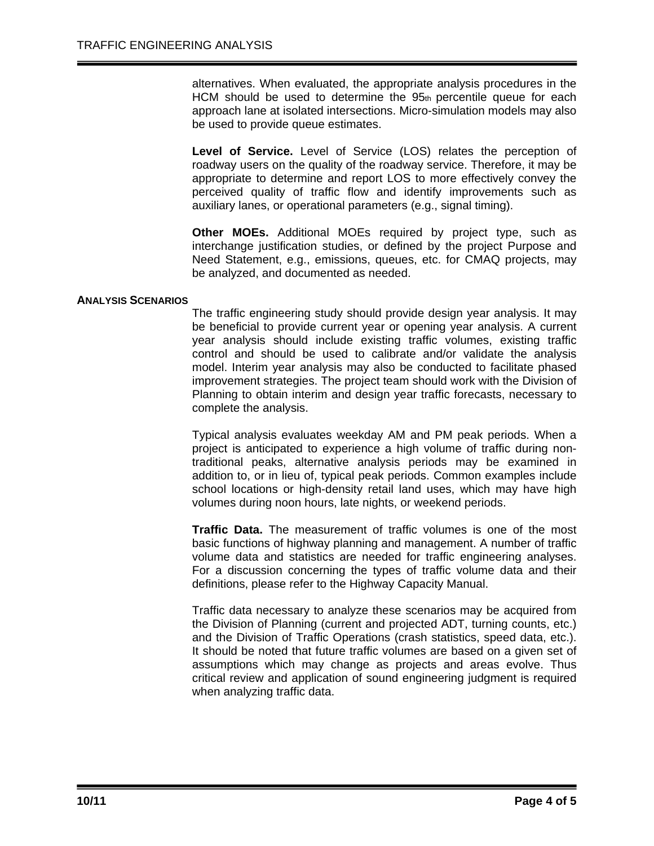alternatives. When evaluated, the appropriate analysis procedures in the HCM should be used to determine the  $95<sub>th</sub>$  percentile queue for each approach lane at isolated intersections. Micro-simulation models may also be used to provide queue estimates.

**Level of Service.** Level of Service (LOS) relates the perception of roadway users on the quality of the roadway service. Therefore, it may be appropriate to determine and report LOS to more effectively convey the perceived quality of traffic flow and identify improvements such as auxiliary lanes, or operational parameters (e.g., signal timing).

**Other MOEs.** Additional MOEs required by project type, such as interchange justification studies, or defined by the project Purpose and Need Statement, e.g., emissions, queues, etc. for CMAQ projects, may be analyzed, and documented as needed.

## **ANALYSIS SCENARIOS**

The traffic engineering study should provide design year analysis. It may be beneficial to provide current year or opening year analysis. A current year analysis should include existing traffic volumes, existing traffic control and should be used to calibrate and/or validate the analysis model. Interim year analysis may also be conducted to facilitate phased improvement strategies. The project team should work with the Division of Planning to obtain interim and design year traffic forecasts, necessary to complete the analysis.

Typical analysis evaluates weekday AM and PM peak periods. When a project is anticipated to experience a high volume of traffic during nontraditional peaks, alternative analysis periods may be examined in addition to, or in lieu of, typical peak periods. Common examples include school locations or high-density retail land uses, which may have high volumes during noon hours, late nights, or weekend periods.

**Traffic Data.** The measurement of traffic volumes is one of the most basic functions of highway planning and management. A number of traffic volume data and statistics are needed for traffic engineering analyses. For a discussion concerning the types of traffic volume data and their definitions, please refer to the Highway Capacity Manual.

Traffic data necessary to analyze these scenarios may be acquired from the Division of Planning (current and projected ADT, turning counts, etc.) and the Division of Traffic Operations (crash statistics, speed data, etc.). It should be noted that future traffic volumes are based on a given set of assumptions which may change as projects and areas evolve. Thus critical review and application of sound engineering judgment is required when analyzing traffic data.